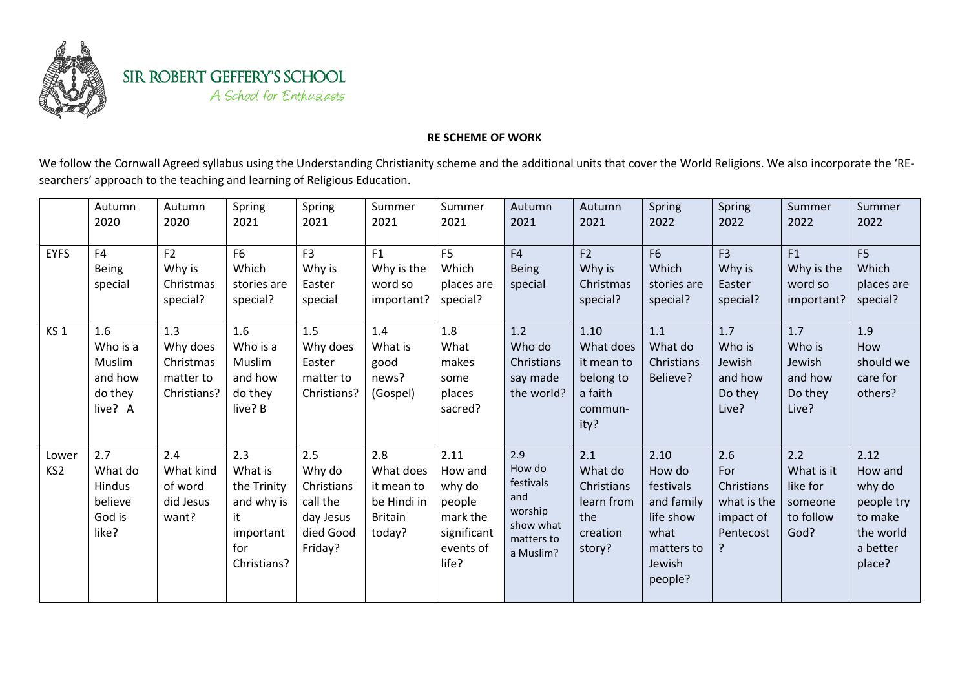

SIR ROBERT GEFFERY'S SCHOOL A School for Enthusiasts

## **RE SCHEME OF WORK**

We follow the Cornwall Agreed syllabus using the Understanding Christianity scheme and the additional units that cover the World Religions. We also incorporate the 'REsearchers' approach to the teaching and learning of Religious Education.

|                          | Autumn<br>2020                                                | Autumn<br>2020                                           | Spring<br>2021                                                                       | Spring<br>2021                                                               | Summer<br>2021                                                            | Summer<br>2021                                                                       | Autumn<br>2021                                                                       | Autumn<br>2021                                                             | Spring<br>2022                                                                                    | Spring<br>2022                                                    | Summer<br>2022                                                | Summer<br>2022                                                                        |
|--------------------------|---------------------------------------------------------------|----------------------------------------------------------|--------------------------------------------------------------------------------------|------------------------------------------------------------------------------|---------------------------------------------------------------------------|--------------------------------------------------------------------------------------|--------------------------------------------------------------------------------------|----------------------------------------------------------------------------|---------------------------------------------------------------------------------------------------|-------------------------------------------------------------------|---------------------------------------------------------------|---------------------------------------------------------------------------------------|
| <b>EYFS</b>              | F <sub>4</sub><br><b>Being</b><br>special                     | F2<br>Why is<br>Christmas<br>special?                    | F <sub>6</sub><br>Which<br>stories are<br>special?                                   | F <sub>3</sub><br>Why is<br>Easter<br>special                                | F1<br>Why is the<br>word so<br>important?                                 | F <sub>5</sub><br>Which<br>places are<br>special?                                    | F4<br><b>Being</b><br>special                                                        | F2<br>Why is<br>Christmas<br>special?                                      | F <sub>6</sub><br>Which<br>stories are<br>special?                                                | F <sub>3</sub><br>Why is<br>Easter<br>special?                    | F1<br>Why is the<br>word so<br>important?                     | F <sub>5</sub><br>Which<br>places are<br>special?                                     |
| KS <sub>1</sub>          | 1.6<br>Who is a<br>Muslim<br>and how<br>do they<br>live? A    | 1.3<br>Why does<br>Christmas<br>matter to<br>Christians? | 1.6<br>Who is a<br>Muslim<br>and how<br>do they<br>live? B                           | 1.5<br>Why does<br>Easter<br>matter to<br>Christians?                        | 1.4<br>What is<br>good<br>news?<br>(Gospel)                               | 1.8<br>What<br>makes<br>some<br>places<br>sacred?                                    | 1.2<br>Who do<br>Christians<br>say made<br>the world?                                | 1.10<br>What does<br>it mean to<br>belong to<br>a faith<br>commun-<br>ity? | 1.1<br>What do<br>Christians<br>Believe?                                                          | 1.7<br>Who is<br>Jewish<br>and how<br>Do they<br>Live?            | 1.7<br>Who is<br>Jewish<br>and how<br>Do they<br>Live?        | 1.9<br>How<br>should we<br>care for<br>others?                                        |
| Lower<br>KS <sub>2</sub> | 2.7<br>What do<br><b>Hindus</b><br>believe<br>God is<br>like? | 2.4<br>What kind<br>of word<br>did Jesus<br>want?        | 2.3<br>What is<br>the Trinity<br>and why is<br>it<br>important<br>for<br>Christians? | 2.5<br>Why do<br>Christians<br>call the<br>day Jesus<br>died Good<br>Friday? | 2.8<br>What does<br>it mean to<br>be Hindi in<br><b>Britain</b><br>today? | 2.11<br>How and<br>why do<br>people<br>mark the<br>significant<br>events of<br>life? | 2.9<br>How do<br>festivals<br>and<br>worship<br>show what<br>matters to<br>a Muslim? | 2.1<br>What do<br>Christians<br>learn from<br>the<br>creation<br>story?    | 2.10<br>How do<br>festivals<br>and family<br>life show<br>what<br>matters to<br>Jewish<br>people? | 2.6<br>For<br>Christians<br>what is the<br>impact of<br>Pentecost | 2.2<br>What is it<br>like for<br>someone<br>to follow<br>God? | 2.12<br>How and<br>why do<br>people try<br>to make<br>the world<br>a better<br>place? |